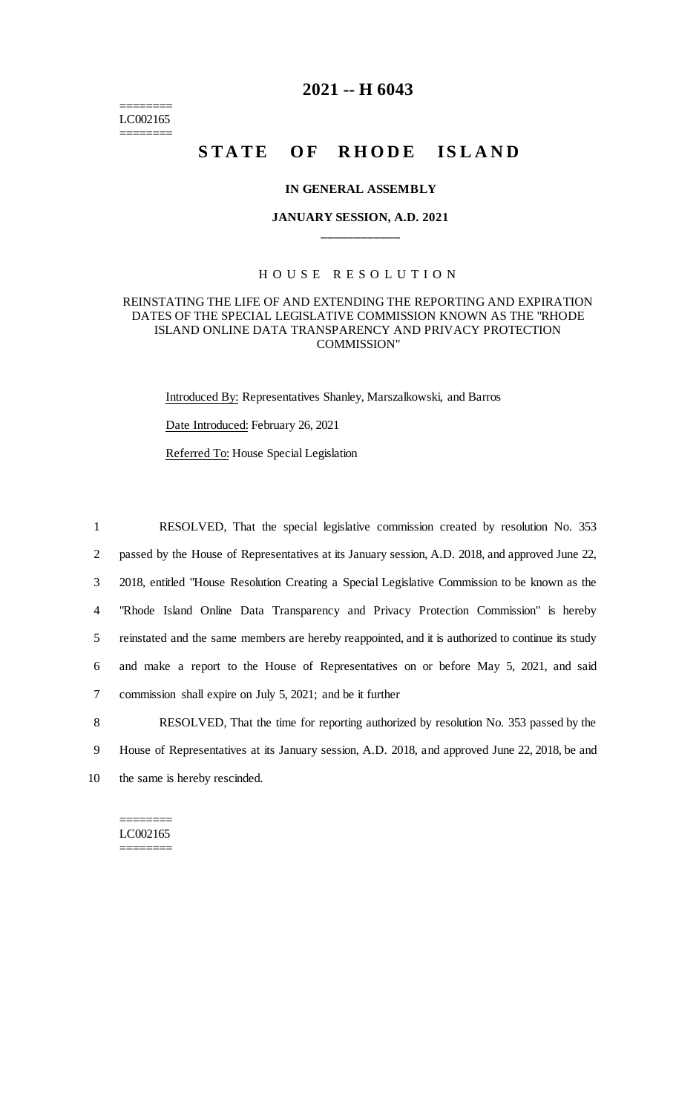======== LC002165 ========

# **2021 -- H 6043**

# **STATE OF RHODE ISLAND**

#### **IN GENERAL ASSEMBLY**

# **JANUARY SESSION, A.D. 2021 \_\_\_\_\_\_\_\_\_\_\_\_**

#### H O U S E R E S O L U T I O N

#### REINSTATING THE LIFE OF AND EXTENDING THE REPORTING AND EXPIRATION DATES OF THE SPECIAL LEGISLATIVE COMMISSION KNOWN AS THE "RHODE ISLAND ONLINE DATA TRANSPARENCY AND PRIVACY PROTECTION COMMISSION"

Introduced By: Representatives Shanley, Marszalkowski, and Barros

Date Introduced: February 26, 2021

Referred To: House Special Legislation

 RESOLVED, That the special legislative commission created by resolution No. 353 passed by the House of Representatives at its January session, A.D. 2018, and approved June 22, 2018, entitled "House Resolution Creating a Special Legislative Commission to be known as the "Rhode Island Online Data Transparency and Privacy Protection Commission" is hereby reinstated and the same members are hereby reappointed, and it is authorized to continue its study and make a report to the House of Representatives on or before May 5, 2021, and said commission shall expire on July 5, 2021; and be it further

8 RESOLVED, That the time for reporting authorized by resolution No. 353 passed by the 9 House of Representatives at its January session, A.D. 2018, and approved June 22, 2018, be and 10 the same is hereby rescinded.

======== LC002165 ========